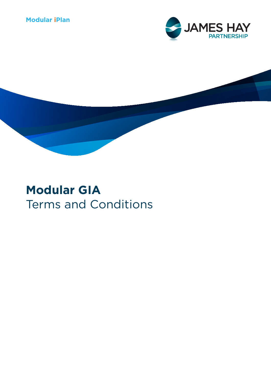## **Modular iPlan**





# **Modular GIA** Terms and Conditions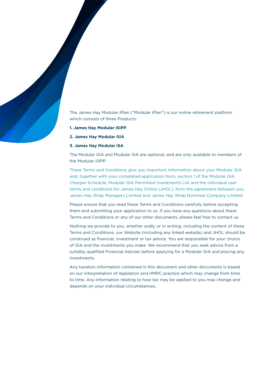The James Hay Modular iPlan ("Modular iPlan") is our online retirement platform which consists of three Products:

- **1. James Hay Modular iSIPP**
- **2. James Hay Modular GIA**

#### **3. James Hay Modular ISA**

The Modular GIA and Modular ISA are optional, and are only available to members of the Modular iSIPP.

These Terms and Conditions give you important information about your Modular GIA and, together with your completed application form, section 1 of the Modular GIA Charges Schedule, Modular GIA Permitted Investments List and the individual user terms and conditions for James Hay Online (JHOL), form the agreement between you, James Hay Wrap Managers Limited and James Hay Wrap Nominee Company Limited.

Please ensure that you read these Terms and Conditions carefully before accepting them and submitting your application to us. If you have any questions about these Terms and Conditions or any of our other documents, please feel free to contact us.

Nothing we provide to you, whether orally or in writing, including the content of these Terms and Conditions, our Website (including any linked website) and JHOL should be construed as financial, investment or tax advice. You are responsible for your choice of GIA and the investments you make. We recommend that you seek advice from a suitably qualified Financial Adviser before applying for a Modular GIA and placing any investments.

Any taxation information contained in this document and other documents is based on our interpretation of legislation and HMRC practice which may change from time to time. Any information relating to how tax may be applied to you may change and depends on your individual circumstances.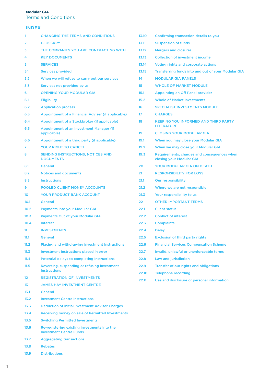#### **Modular GIA**

Terms and Conditions

## **INDEX**

| 1        | <b>CHANGING THE TERMS AND CONDITIONS</b>                            | 13.10 | <b>Confirming transaction details to you</b>                            |
|----------|---------------------------------------------------------------------|-------|-------------------------------------------------------------------------|
| 2        | <b>GLOSSARY</b>                                                     | 13.11 | <b>Suspension of funds</b>                                              |
| 3        | THE COMPANIES YOU ARE CONTRACTING WITH                              | 13.12 | <b>Mergers and closures</b>                                             |
| 4        | <b>KEY DOCUMENTS</b>                                                | 13.13 | <b>Collection of investment income</b>                                  |
| 5        | <b>SERVICES</b>                                                     | 13.14 | Voting rights and corporate actions                                     |
| 5.1      | <b>Services provided</b>                                            | 13.15 | Transferring funds into and out of your Modular GIA                     |
| 5.2      | When we will refuse to carry out our services                       | 14    | <b>MODULAR GIA PANELS</b>                                               |
| 5.3      | Services not provided by us                                         | 15    | <b>WHOLE OF MARKET MODULE</b>                                           |
| 6        | <b>OPENING YOUR MODULAR GIA</b>                                     | 15.1  | <b>Appointing an Off Panel provider</b>                                 |
| 6.1      | <b>Eligibility</b>                                                  | 15.2  | <b>Whole of Market Investments</b>                                      |
| 6.2      | <b>Application process</b>                                          | 16    | <b>SPECIALIST INVESTMENTS MODULE</b>                                    |
| 6.3      | Appointment of a Financial Adviser (if applicable)                  | 17    | <b>CHARGES</b>                                                          |
| 6.4      | Appointment of a Stockbroker (if applicable)                        | 18    | <b>KEEPING YOU INFORMED AND THIRD PARTY</b>                             |
| 6.5      | <b>Appointment of an Investment Manager (if</b><br>applicable)      | 19    | <b>LITERATURE</b><br><b>CLOSING YOUR MODULAR GIA</b>                    |
| 6.6      | Appointment of a third party (if applicable)                        | 19.1  | When you may close your Modular GIA                                     |
| 7        | <b>YOUR RIGHT TO CANCEL</b>                                         | 19.2  | When we may close your Modular GIA                                      |
| 8        | <b>SENDING INSTRUCTIONS, NOTICES AND</b><br><b>DOCUMENTS</b>        | 19.3  | Requirements, charges and consequences when<br>closing your Modular GIA |
| 8.1      | <b>General</b>                                                      | 20    | <b>YOUR MODULAR GIA ON DEATH</b>                                        |
| 8.2      | <b>Notices and documents</b>                                        | 21    | <b>RESPONSIBILITY FOR LOSS</b>                                          |
| 8.3      | <b>Instructions</b>                                                 | 21.1  | <b>Our responsibility</b>                                               |
| 9        | <b>POOLED CLIENT MONEY ACCOUNTS</b>                                 | 21.2  | Where we are not responsible                                            |
| 10       | <b>YOUR PRODUCT BANK ACCOUNT</b>                                    | 21.3  | Your responsibility to us                                               |
| 10.1     | <b>General</b>                                                      | 22    | <b>OTHER IMPORTANT TERMS</b>                                            |
| 10.2     | <b>Payments into your Modular GIA</b>                               | 22.1  | <b>Client status</b>                                                    |
| 10.3     | <b>Payments Out of your Modular GIA</b>                             | 22.2  | <b>Conflict of interest</b>                                             |
| 10.4     | <b>Interest</b>                                                     | 22.3  | <b>Complaints</b>                                                       |
| 11       | <b>INVESTMENTS</b>                                                  | 22.4  | <b>Delay</b>                                                            |
| 11.1     | <b>General</b>                                                      | 22.5  | <b>Exclusion of third party rights</b>                                  |
| 11.2     | <b>Placing and withdrawing investment Instructions</b>              | 22.6  | <b>Financial Services Compensation Scheme</b>                           |
| 11.3     | Investment Instructions placed in error                             | 22.7  | Invalid, unlawful or unenforceable terms                                |
| 11.4     | <b>Potential delays to completing Instructions</b>                  | 22.8  | Law and jurisdiction                                                    |
| 11.5     | Reversing, suspending or refusing investment<br><b>Instructions</b> | 22.9  | Transfer of our rights and obligations                                  |
|          | <b>REGISTRATION OF INVESTMENTS</b>                                  | 22.10 | <b>Telephone recording</b>                                              |
| 12<br>13 | <b>JAMES HAY INVESTMENT CENTRE</b>                                  | 22.11 | Use and disclosure of personal information                              |
| 13.1     | <b>General</b>                                                      |       |                                                                         |
| 13.2     | <b>Investment Centre Instructions</b>                               |       |                                                                         |
| 13.3     | <b>Deduction of initial investment Adviser Charges</b>              |       |                                                                         |
| 13.4     | Receiving money on sale of Permitted Investments                    |       |                                                                         |
| 13.5     | <b>Switching Permitted Investments</b>                              |       |                                                                         |
| 13.6     | Re-registering existing investments into the                        |       |                                                                         |
|          | <b>Investment Centre Funds</b>                                      |       |                                                                         |
| 13.7     | <b>Aggregating transactions</b>                                     |       |                                                                         |
| 13.8     | <b>Rebates</b>                                                      |       |                                                                         |
| 13.9     | <b>Distributions</b>                                                |       |                                                                         |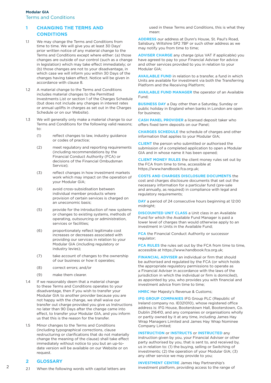## **1 CHANGING THE TERMS AND CONDITIONS**

- 1.1 We may change the Terms and Conditions from time to time. We will give you at least 30 Days' prior written notice of any material change to the Terms and Conditions except where either: (a) those changes are outside of our control (such as a change in legislation) which may take effect immediately; or (b) those changes are not to your disadvantage, in which case we will inform you within 30 Days of the changes having taken effect. Notice will be given in accordance with clause 8.
- 1.2 A material change to the Terms and Conditions includes material changes to the Permitted Investments List or section 1 of the Charges Schedule (but does not include any changes in interest rates or annual uplifts in charges as set out in the Charges Schedule or on our Website).
- 1.3 We will generally only make a material change to our Terms and Conditions for the following valid reasons; to:
	- (1) reflect changes to law, industry guidance or codes of practice;
	- (2) meet regulatory and reporting requirements (including recommendations by the Financial Conduct Authority (FCA) or decisions of the Financial Ombudsman Service);
	- (3) reflect changes in how investment markets work which may impact on the operation of your Modular GIA;
	- (4) avoid cross-subsidisation between individual member products where provision of certain services is charged on an uneconomic basis;
	- (5) provide for the introduction of new systems or changes to existing systems, methods of operating, outsourcing or administration, services or facilities;
	- (6) proportionately reflect legitimate cost increases or decreases associated with providing our services in relation to your Modular GIA (including regulatory or industry levies);
	- (7) take account of changes to the ownership of our business or how it operates;
	- (8) correct errors; and/or
	- (9) make them clearer.
- 1.4 If we reasonably deem that a material change to these Terms and Conditions operates to your disadvantage, then if you wish to transfer your Modular GIA to another provider because you are not happy with the change, we shall waive our transfer out charge provided you give us Instructions no later than 90 Days after the change came into effect, to transfer your Modular GIA, and you inform us that this is the reason for the transfer.
- 1.5 Minor changes to the Terms and Conditions (including typographical corrections, clause restructuring or clarifications that do not materially change the meaning of the clause) shall take effect immediately without notice to you but an up-todate version will be available on our Website or on request

## **2 GLOSSARY**

 $\mathcal{P}$ 

2.1 When the following words with capital letters are

used in these Terms and Conditions, this is what they mean:

**ADDRESS** our address at Dunn's House, St. Paul's Road, Salisbury, Wiltshire SP2 7BF or such other address as we may notify you from time to time;

**ADVISER CHARGE** any charge (plus VAT if applicable) you have agreed to pay to your Financial Adviser for advice and other services provided to you in relation to your Modular GIA;

**AVAILABLE FUND** in relation to a transfer, a fund in which Units are available for investment via both the Transferring Platform and the Receiving Platform;

**AVAILABLE FUND MANAGER** the operator of an Available Fund;

**BUSINESS DAY** a Day other than a Saturday, Sunday or public holiday in England when banks in London are open for business;

**CASH PANEL PROVIDER** a licensed deposit taker who offers fixed term deposits on our Panel;

**CHARGES SCHEDULE** the schedule of charges and other information that applies to your Modular GIA;

**CLIENT** the person who submitted or authorised the submission of a completed application to open a Modular GIA and in whose name it has been opened;

**CLIENT MONEY RULES** the client money rules set out by the FCA from time to time, accessible at https://www.handbook.fca.org.uk;

**COSTS AND CHARGES DISCLOSURE DOCUMENTS** the cost and charges disclosure documents that set out the necessary information for a particular fund (pre-sale and annually, as required) in compliance with legal and regulatory requirements;

**DAY** a period of 24 consecutive hours beginning at 12:00 midnight;

**DISCOUNTED UNIT CLASS** a Unit class in an Available Fund for which the Available Fund Manager is paid a lower level of charges than would otherwise apply to an investment in Units in the Available Fund;

**FCA** the Financial Conduct Authority or successor regulator;

**FCA RULES** the rules set out by the FCA from time to time, accessible at https://www.handbook.fca.org.uk;

**FINANCIAL ADVISER** an individual or firm that should be authorised and regulated by the FCA (or which holds the appropriate regulatory permissions to operate as a Financial Adviser in accordance with the laws of the jurisdiction in which the individual or firm is domiciled), as appointed by you, who provides you with financial and investment advice from time to time;

**HMRC** Her Majesty's Revenue & Customs;

**IFG GROUP COMPANIES** IFG Group PLC (Republic of Ireland company no. IE021010), whose registered office address is: IFG House, Booterstown Hall, Booterstown, Co. Dublin 216410, and any companies or organisations wholly or partly owned by it at any time, including James Hay Wrap Managers Limited and James Hay Wrap Nominee Company Limited;

#### **INSTRUCTION** or **INSTRUCTS** or **INSTRUCTED** any

instruction given by you, your Financial Adviser or other party authorised by you, that is sent to, and received by, us in relation to: (1) the buying, selling or Switching of investments; (2) the operation of your Modular GIA; (3) any other service we may provide to you;

**INVESTMENT CENTRE** James Hay Partnership's investment platform, providing access to the range of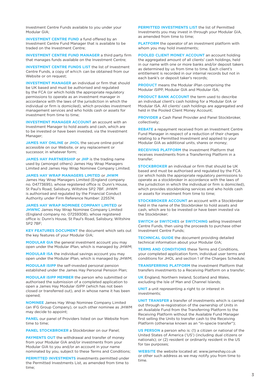Investment Centre Funds available to you under your Modular GIA;

**INVESTMENT CENTRE FUND** a fund offered by an Investment Centre Fund Manager that is available to be traded on the Investment Centre;

**INVESTMENT CENTRE FUND MANAGER** a third party firm that manages funds available on the Investment Centre;

**INVESTMENT CENTRE FUNDS LIST** the list of Investment Centre Funds, a copy of which can be obtained from our Website or on request;

**INVESTMENT MANAGER** an individual or firm that should be UK based and must be authorised and regulated by the FCA (or which holds the appropriate regulatory permissions to operate as an investment manager in accordance with the laws of the jurisdiction in which the individual or firm is domiciled), which provides investment management services and who holds cash or assets for investment from time to time;

**INVESTMENT MANAGER ACCOUNT** an account with an Investment Manager to hold assets and cash, which are to be invested or have been invested, via the Investment Manager;

**JAMES HAY ONLINE** or **JHOL** the secure online portal accessible on our Website, or any replacement or successor, in whatever form;

**JAMES HAY PARTNERSHIP** or **JHP** is the trading name used by (amongst others) James Hay Wrap Managers Limited and James Hay Wrap Nominee Company Limited;

**JAMES HAY WRAP MANAGERS LIMITED** or **JHWM**

James Hay Wrap Managers Limited (England company no. 04773695), whose registered office is: Dunn's House, St Paul's Road, Salisbury, Wiltshire SP2 7BF. JHWM is authorised and regulated by the Financial Conduct Authority under Firm Reference Number: 225574;

**JAMES HAY WRAP NOMINEE COMPANY LIMITED** or

**JHWNC** James Hay Wrap Nominee Company Limited (England company no. 07259308), whose registered office is: Dunn's House, St Paul's Road, Salisbury, Wiltshire  $S$ P<sub>2</sub> 7BF;

**KEY FEATURES DOCUMENT** the document which sets out the key features of your Modular GIA;

**MODULAR GIA** the general investment account you may open under the Modular iPlan, which is managed by JHWM;

**MODULAR ISA** the individual savings account you may open under the Modular iPlan, which is managed by JHWM;

**MODULAR iSIPP** the self-invested personal pension established under the James Hay Personal Pension Plan;

**MODULAR iSIPP MEMBER** the person who submitted or authorised the submission of a completed application to open a James Hay Modular iSIPP (which has not been closed or transferred out), and in whose name it has been opened;

**NOMINEE** James Hay Wrap Nominee Company Limited (an IFG Group Company), or such other nominee as JHWM may decide to appoint;

**PANEL** our panel of Providers listed on our Website from time to time;

**PANEL STOCKBROKER** a Stockbroker on our Panel;

**PAYMENTS OUT** the withdrawal and transfer of money from your Modular GIA and/or investments from your Modular GIA to you and/or an account in your name nominated by you, subject to these Terms and Conditions;

**PERMITTED INVESTMENTS** investments permitted under the Permitted Investments List, as amended from time to time;

**PERMITTED INVESTMENTS LIST** the list of Permitted Investments you may invest in through your Modular GIA, as amended from time to time;

**PLATFORM** the operator of an investment platform with whom you may hold investments;

**POOLED CLIENT MONEY ACCOUNT** an account holding the aggregated amount of all clients' cash holdings, held in our name with one or more banks and/or deposit takers as determined by us from time to time. Each client's entitlement is recorded in our internal records but not in each bank's or deposit taker's records;

**PRODUCT** means the Modular iPlan comprising the Modular iSIPP, Modular GIA and Modular ISA;

**PRODUCT BANK ACCOUNT** the term used to describe an individual client's cash holding for a Modular GIA or Modular ISA. All clients' cash holdings are aggregated and held in the Pooled Client Money Account;

**PROVIDER** a Cash Panel Provider and Panel Stockbroker, collectively;

**REBATE** a repayment received from an Investment Centre Fund Manager in respect of a reduction of their charges relating to a Permitted Investment and applied to your Modular GIA as additional units, shares or money;

**RECEIVING PLATFORM** the investment Platform that receives investments from a Transferring Platform in a transfer;

**STOCKBROKER** an individual or firm that should be UK based and must be authorised and regulated by the FCA (or which holds the appropriate regulatory permissions to operate as a stockbroker in accordance with the laws of the jurisdiction in which the individual or firm is domiciled), which provides stockbroking services and who holds cash or assets for investment from time to time;

**STOCKBROKER ACCOUNT** an account with a Stockbroker held in the name of the Stockbroker to hold assets and cash, which are to be invested or have been invested via the Stockbroker;

**SWITCH** or **SWITCHES** or **SWITCHING** selling Investment Centre Funds, then using the proceeds to purchase other Investment Centre Funds;

**TECHNICAL GUIDE** the document providing detailed technical information about your Modular GIA;

**TERMS AND CONDITIONS** these Terms and Conditions, your completed application form, individual user terms and conditions for JHOL and section 1 of the Charges Schedule;

**TRANSFERRING PLATFORM** the investment Platform that transfers investments to a Receiving Platform on a transfer;

**UK** England, Northern Ireland, Scotland and Wales, excluding the Isle of Man and Channel Islands;

**UNIT** a unit representing a right to or interest in investments;

**UNIT TRANSFER** a transfer of investments which is carried out through re-registration of the ownership of Units in an Available Fund from the Transferring Platform to the Receiving Platform without the Available Fund Manager first selling the Units to transfer cash to the Receiving Platform (otherwise known as an "in-specie transfer");

**US PERSON** a person who is: (1) a citizen or national of the United States of America ('US') (including dual citizens or nationals); or (2) resident or ordinarily resident in the US for tax purposes;

**WEBSITE** the website located at: www.jameshay.co.uk or other such address as we may notify you from time to time.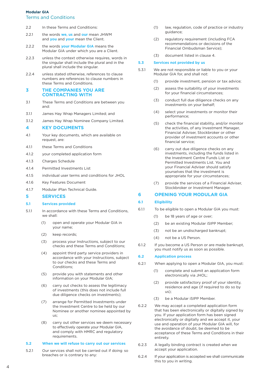## **Modular GIA**

## Terms and Conditions

- 2.2 In these Terms and Conditions:
- 2.2.1 the words **we**, **us** and **our** mean JHWM and **you** and **your** mean the Client.
- 2.2.2 the words **your Modular GIA** means the Modular GIA under which you are a Client.
- 2.2.3 unless the context otherwise requires, words in the singular shall include the plural and in the plural shall include the singular.
- 2.2.4 unless stated otherwise, references to clause numbers are references to clause numbers in these Terms and Conditions.

# **3 THE COMPANIES YOU ARE CONTRACTING WITH**

- 3.1 These Terms and Conditions are between you and:
- 3.1.1 James Hay Wrap Managers Limited; and
- 3.1.2 James Hay Wrap Nominee Company Limited.

#### **4 KEY DOCUMENTS**

- 4.1 Your key documents, which are available on request, are:
- 4.1.1 these Terms and Conditions
- 4.1.2 your completed application form
- 4.1.3 Charges Schedule
- 4.1.4 Permitted Investments List
- 4.1.5 individual user terms and conditions for JHOL
- 4.1.6 Key Features Document
- 4.1.7 Modular iPlan Technical Guide.

#### **5 SERVICES**

#### **5.1 Services provided**

- 5.1.1 In accordance with these Terms and Conditions, we shall:
	- (1) open and operate your Modular GIA in your name;
	- (2) keep records;
	- (3) process your Instructions, subject to our checks and these Terms and Conditions;
	- (4) appoint third party service providers in accordance with your Instructions, subject to our checks and these Terms and Conditions;
	- (5) provide you with statements and other information on your Modular GIA;
	- (6) carry out checks to assess the legitimacy of investments (this does not include full due diligence checks on investments);
	- (7) arrange for Permitted Investments under the Investment Centre to be held by our Nominee or another nominee appointed by  $\overline{115}$
	- (8) carry out other services we deem necessary to effectively operate your Modular GIA, and comply with HMRC and regulatory requirements.

#### **5.2 When we will refuse to carry out our services**

5.2.1 Our services shall not be carried out if doing so breaches or is contrary to any:

- (1) law, regulation, code of practice or industry guidance;
- (2) regulatory requirement (including FCA recommendations or decisions of the Financial Ombudsman Service);
- (3) document listed in clause 4.

#### **5.3 Services not provided by us**

- 5.3.1 We are not responsible or liable to you or your Modular GIA for, and shall not:
	- (1) provide investment, pension or tax advice;
	- (2) assess the suitability of your investments for your financial circumstances;
	- (3) conduct full due diligence checks on any investments on your behalf;
	- (4) select your investments or monitor their performance;
	- (5) check the financial stability, and/or monitor the activities, of any Investment Manager, Financial Adviser, Stockbroker or other provider of investment accounts or other financial service;
	- (6) carry out due diligence checks on any investments, including the funds listed in the Investment Centre Funds List or Permitted Investments List. You and your Financial Adviser should satisfy yourselves that the investment is appropriate for your circumstances;
	- (7) provide the services of a Financial Adviser, Stockbroker or Investment Manager.

#### **6 OPENING YOUR MODULAR GIA**

#### **6.1 Eligibility**

- 6.1.1 To be eligible to open a Modular GIA you must:
	- (1) be 18 years of age or over;
	- (2) be an existing Modular iSIPP Member;
	- (3) not be an undischarged bankrupt;
	- (4) not be a US Person.
- 6.1.2 If you become a US Person or are made bankrupt, you must notify us as soon as possible.

#### **6.2 Application process**

- 6.2.1 When applying to open a Modular GIA, you must:
	- (1) complete and submit an application form electronically via JHOL;
	- (2) provide satisfactory proof of your identity, residence and age (if required to do so by us);
	- (3) be a Modular iSIPP Member.
- 6.2.2 We may accept a completed application form that has been electronically or digitally signed by you. If your application form has been signed electronically or digitally and we accept it, your use and operation of your Modular GIA will, for the avoidance of doubt, be deemed to be acceptance of these Terms and Conditions in their entirety.
- 6.2.3 A legally binding contract is created when we accept your application.
- 6.2.4 If your application is accepted we shall communicate this to you in writing.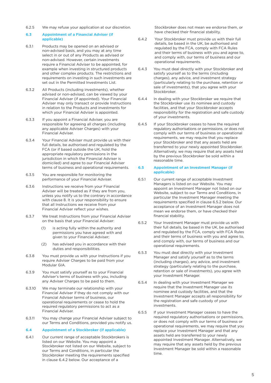6.2.5 We may refuse your application at our discretion.

#### **6.3 Appointment of a Financial Adviser (if applicable)**

- 6.3.1 Products may be opened on an advised or non-advised basis, and you may at any time select in or out of any Products as advised or non-advised. However, certain investments require a Financial Adviser to be appointed, for example when investing in structured products and other complex products. The restrictions and requirements on investing in such investments are set out in the Permitted Investments List.
- 6.3.2 All Products (including investments), whether advised or non-advised, can be viewed by your Financial Adviser (if appointed). Your Financial Adviser may only transact or provide Instructions in relation to the Products and investments for which your Financial Adviser is appointed.
- 6.3.3 If you appoint a Financial Adviser, you are responsible for agreeing all charges (including any applicable Adviser Charges) with your Financial Adviser.
- 6.3.4 Your Financial Adviser must provide us with their full details, be authorised and regulated by the FCA (or if based outside the UK, hold the appropriate regulatory permissions in the jurisdiction in which the Financial Adviser is domiciled) and agree to our Financial Adviser terms of business and operational requirements.
- 6.3.5 You are responsible for monitoring the performance of your Financial Adviser.
- 6.3.6 Instructions we receive from your Financial Adviser will be treated as if they are from you, unless you notify us to the contrary in accordance with clause 8. It is your responsibility to ensure that all Instructions we receive from your Financial Adviser reflect your wishes.
- 6.3.7 We treat Instructions from your Financial Adviser on the basis that your Financial Adviser:
	- (1) is acting fully within the authority and permissions you have agreed with and given to your Financial Adviser;
	- (2) has advised you in accordance with their duties and responsibilities.
- 6.3.8 You must provide us with your Instructions if you require Adviser Charges to be paid from your Modular GIA.
- 6.3.9 You must satisfy yourself as to your Financial Adviser's terms of business with you, including any Adviser Charges to be paid to them.
- 6.3.10 We may terminate our relationship with your Financial Adviser if they do not comply with our Financial Adviser terms of business, our operational requirements or cease to hold the required regulatory permissions to act as a Financial Adviser.
- 6.3.11 You may change your Financial Adviser subject to our Terms and Conditions, provided you notify us.

#### **6.4 Appointment of a Stockbroker (if applicable)**

6.4.1 Our current range of acceptable Stockbrokers is listed on our Website. You may appoint a Stockbroker not listed on our Website, subject to our Terms and Conditions, in particular the Stockbroker meeting the requirements specified in clause 6.4.2 below. Our acceptance of a

 Stockbroker does not mean we endorse them, or have checked their financial stability.

- 6.4.2 Your Stockbroker must provide us with their full details, be based in the UK, be authorised and regulated by the FCA, comply with FCA Rules and their terms of business with you and agree to, and comply with, our terms of business and our operational requirements.
- 6.4.3 You must deal directly with your Stockbroker and satisfy yourself as to the terms (including charges), any advice, and investment strategy (particularly relating to the purchase, retention or sale of investments), that you agree with your Stockbroker.
- 6.4.4 In dealing with your Stockbroker we require that the Stockbroker use its nominee and custody facilities, and that your Stockbroker accepts responsibility for the registration and safe custody of your investments.
- 6.4.5 If your Stockbroker ceases to have the required regulatory authorisations or permissions, or does not comply with our terms of business or operational requirements, we may require that you replace your Stockbroker and that any assets held are transferred to your newly appointed Stockbroker. Alternatively, we may require that any assets held by the previous Stockbroker be sold within a reasonable time.

#### **6.5 Appointment of an Investment Manager (if applicable)**

- 6.5.1 Our current range of acceptable Investment Managers is listed on our Website. You may appoint an Investment Manager not listed on our Website, subject to our Terms and Conditions, in particular the Investment Manager meeting the requirements specified in clause 6.5.2 below. Our acceptance of an Investment Manager does not mean we endorse them, or have checked their financial stability.
- 6.5.2 Your Investment Manager must provide us with their full details, be based in the UK, be authorised and regulated by the FCA, comply with FCA Rules and their terms of business with you and agree to, and comply with, our terms of business and our operational requirements.
- 6.5.3 You must deal directly with your Investment Manager and satisfy yourself as to the terms (including charges), any advice, and investment strategy (particularly relating to the purchase, retention or sale of investments), you agree with your Investment Manager.
- 6.5.4 In dealing with your Investment Manager we require that the Investment Manager use its nominee and custody facilities, and that the Investment Manager accepts all responsibility for the registration and safe custody of your investments.
- 6.5.5 If your Investment Manager ceases to have the required regulatory authorisations or permissions, or does not comply with our terms of business or operational requirements, we may require that you replace your Investment Manager and that any assets held are transferred to your newly appointed Investment Manager. Alternatively, we may require that any assets held by the previous Investment Manager be sold within a reasonable time.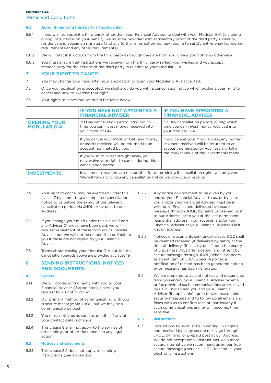#### **6.6 Appointment of a third party (if applicable)**

- 6.6.1 If you wish to appoint a third party, other than your Financial Adviser, to deal with your Modular GIA (including giving Instructions on your behalf), we must be provided with satisfactory proof of the third party's identity, residence and specimen signature (and any further information we may require to satisfy anti-money laundering requirements and any other requirements).
- 6.6.2 We will treat Instructions from the third party as though they are from you, unless you notify us otherwise.
- 6.6.3 You must ensure that Instructions we receive from the third party reflect your wishes and you accept responsibility for the actions of the third party in relation to your Modular GIA.

## **7 YOUR RIGHT TO CANCEL**

- 7.1 You may change your mind after your application to open your Modular GIA is accepted.
- 7.2 Once your application is accepted, we shall provide you with a cancellation notice which explains your right to cancel and how to exercise that right.
- 7.3 Your rights to cancel are set out in the table below:

|                                           | <b>IF YOU HAVE NOT APPOINTED A</b><br><b>FINANCIAL ADVISER</b>                                                                                                      | <b>IF YOU HAVE APPOINTED A</b><br><b>FINANCIAL ADVISER</b>                                                                                                                        |  |
|-------------------------------------------|---------------------------------------------------------------------------------------------------------------------------------------------------------------------|-----------------------------------------------------------------------------------------------------------------------------------------------------------------------------------|--|
| <b>OPENING YOUR</b><br><b>MODULAR GIA</b> | 30 Day cancellation period, after which<br>time you can invest money received into<br>your Modular GIA.                                                             | 30 Day cancellation period, <i>during</i> which<br>time you can invest money received into<br>your Modular GIA.                                                                   |  |
|                                           | If you cancel your Modular GIA, any money<br>or assets received will be returned to an<br>account nominated by you.                                                 | If you cancel your Modular GIA, any money<br>or assets received will be returned to an<br>account nominated by you, less any fall in<br>the market value of the investments made. |  |
|                                           | If you wish to invest straight away, you<br>may waive your right to cancel during this<br>cancellation period.                                                      |                                                                                                                                                                                   |  |
| INVESTMEN                                 | Investment providers are responsible for determining if cancellation rights will be given.<br>We will forward to you any cancellation notice we produce or receive. |                                                                                                                                                                                   |  |

- 7.4 Your right to cancel may be exercised under this clause 7 by submitting a completed cancellation notice to us before the expiry of the relevant cancellation period via JHOL or by post to our Address.
- 7.5 If you change your mind under this clause 7 and any Adviser Charges have been paid, we will request repayment of these from your Financial Adviser, but we will not be responsible or liable to you if these are not repaid by your Financial Adviser.
- 7.6 Terms about closing your Modular GIA outside the cancellation periods above are provided at clause 19.

## **8 SENDING INSTRUCTIONS, NOTICES AND DOCUMENTS**

#### **8.1 General**

- 8.1.1 We will correspond directly with you or your Financial Adviser (if appointed), unless you request for us not to do so.
- 8.1.2 Our primary method of communicating with you is secure message via JHOL, but we may also communicate by post.
- 8.1.3 You must notify us as soon as possible if any of your contact details change.
- 8.1.4 This clause 8 shall not apply to the service of proceedings or other documents in any legal action.

#### **8.2 Notices and documents**

8.2.1 This clause 8.2 does not apply to sending Instructions (see clause 8.3).

- 8.2.2 Any notice or document to be given by you and/or your Financial Adviser to us, or by us to you and/or your Financial Adviser, must be in writing, in English and delivered by secure message through JHOL, by hand, or prepaid post to our Address, or to you at the last permanent residential address in our records, and/or your Financial Adviser at your Financial Adviser's last known address.
- 8.2.3 Notices or documents sent under clause 8.2.2 shall be deemed received (if delivered by hand) at the time of delivery, (if sent by post) upon the expiry of 5 Business Days after posting, and (if sent by secure message through JHOL) when it appears as a sent item on JHOL's secure portal, a notification of receipt has been generated and no error message has been generated.
- 8.2.4 We are prepared to accept notices and documents from you and/or your Financial Adviser by email or fax provided such communications are received by us in English and you and your Financial Adviser (if applicable) agree to take reasonable security measures and to follow up all emails and faxes with us to confirm receipt, particularly if such communications are, or will become, time sensitive.

#### **8.3 Instructions**

8.3.1 Instructions to us must be in writing, in English and received by us by secure message through JHOL, by hand, or prepaid post at our Address. We do not accept email Instructions. As a more secure alternative we recommend using our free secure messaging service, JHOL, to send us your electronic Instructions.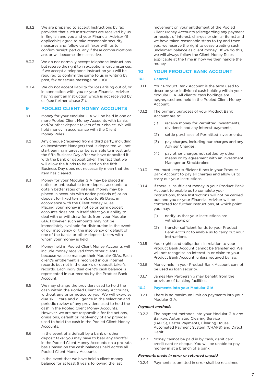- 8.3.2 We are prepared to accept Instructions by fax provided that such Instructions are received by us, in English and you and your Financial Adviser (if applicable) agree to take reasonable security measures and follow up all faxes with us to confirm receipt, particularly if these communications are, or will become, time sensitive.
- 8.3.3 We do not normally accept telephone Instructions, but reserve the right to in exceptional circumstances. If we accept a telephone Instruction you will be required to confirm the same to us in writing by post, fax or secure message on JHOL.
- 8.3.4 We do not accept liability for loss arising out of, or in connection with, you or your Financial Adviser having sent an Instruction which is not received by us (see further clause 21).

## **9 POOLED CLIENT MONEY ACCOUNTS**

- 9.1 Money for your Modular GIA will be held in one or more Pooled Client Money Accounts with banks and/or other deposit takers of our choice. We will hold money in accordance with the Client Money Rules.
- 9.2 Any cheque (received from a third party, including an Investment Manager) that is deposited will not start earning interest or be available to invest until the fifth Business Day after we have deposited it with the bank or deposit taker. The fact that we will allow the funds to be used on the fifth Business Day does not necessarily mean that the item has cleared.
- 9.3 Money for your Modular GIA may be placed in notice or unbreakable term deposit accounts to obtain better rates of interest. Money may be placed in accounts with notice periods of, or on deposit for fixed terms of, up to 95 Days, in accordance with the Client Money Rules. Placing your money in notice or term deposit accounts does not in itself affect your ability to deal with or withdraw funds from your Modular GIA. However, such amounts may not be immediately available for distribution in the event of our insolvency or the insolvency or default of one of the banks or other deposit takers with whom your money is held.
- 9.4 Money held in Pooled Client Money Accounts will include money received from other clients because we also manage their Modular GIAs. Each client's entitlement is recorded in our internal records but not in the bank's or deposit taker's records. Each individual client's cash balance is represented in our records by the Product Bank Account.
- 9.5 We may change the providers used to hold the cash within the Pooled Client Money Accounts, without any prior notice to you. We will exercise due skill, care and diligence in the selection and periodic review of any providers used to hold the cash in the Pooled Client Money Accounts. However, we are not responsible for the actions, omissions, default or insolvency of any provider used to hold the cash in the Pooled Client Money **Accounts**
- 9.6 In the event of a default by a bank or other deposit taker you may have to bear any shortfall in the Pooled Client Money Accounts on a pro-rata basis based on the cash balances held across all Pooled Client Money Accounts.
- 9.7 In the event that we have held a client money balance for at least 6 years following the last

 movement on your entitlement of the Pooled Client Money Accounts (disregarding any payment or receipt of interest, charges or similar items) and we have taken reasonable steps to try and trace you, we reserve the right to cease treating such unclaimed balance as client money. If we do this, we will always follow the Client Money Rules applicable at the time in how we then handle the money.

#### **10 YOUR PRODUCT BANK ACCOUNT**

## **10.1 General**

- 10.1.1 Your Product Bank Account is the term used to describe your individual cash holding within your Modular GIA. All clients' cash holdings are aggregated and held in the Pooled Client Money Account.
- 10.1.2 The primary purposes of your Product Bank Account are to:
	- (1) receive money for Permitted Investments, dividends and any interest payments;
	- (2) settle purchases of Permitted Investments;
	- (3) pay charges, including our charges and any Adviser Charges;
	- (4) pay other charges not settled by other means or by agreement with an Investment Manager or Stockbroker.
- 10.1.3 You must keep sufficient funds in your Product Bank Account to pay all charges and allow us to carry out your Instructions.
- 10.1.4 If there is insufficient money in your Product Bank Account to enable us to complete your Instructions, those Instructions will not be carried out, and you or your Financial Adviser will be contacted for further Instructions, at which point you may:
	- (1) notify us that your Instructions are withdrawn; or
	- (2) transfer sufficient funds to your Product Bank Account to enable us to carry out your Instructions.
- 10.1.5 Your rights and obligations in relation to your Product Bank Account cannot be transferred. We will not recognise an interest in or claim to your Product Bank Account, unless required by law.
- 10.1.6 Money held in your Product Bank Account cannot be used as loan security.
- 10.1.7 James Hay Partnership may benefit from the provision of banking facilities.

#### **10.2 Payments into your Modular GIA**

10.2.1 There is no maximum limit on payments into your Modular GIA.

#### *Payment methods*

- 10.2.2 The payment methods into your Modular GIA are: Bankers Automated Clearing Service (BACS), Faster Payments, Clearing House Automated Payment System (CHAPS) and Direct Debit.
- 10.2.3 Money cannot be paid in by cash, debit card, credit card or cheque. You will be unable to pay money in at a branch of a bank.

#### *Payments made in error or returned unpaid*

10.2.4 Payments submitted in error shall be reclaimed.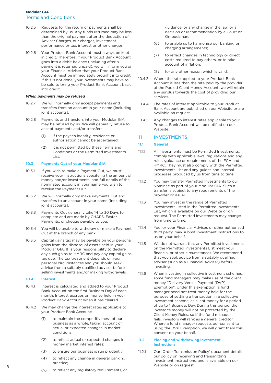- 10.2.5 Requests for the return of payments shall be determined by us. Any funds returned may be less than the original payment after the deduction of Adviser Charges, our charges, investment performance or tax, interest or other charges.
- 10.2.6 Your Product Bank Account must always be kept in credit. Therefore, if your Product Bank Account goes into a debit balance (including after a payment is returned unpaid), we will inform you or your Financial Adviser that your Product Bank Account must be immediately brought into credit. If this is not done, your investments may have to be sold to bring your Product Bank Account back into credit.

#### *When payments may be refused*

- 10.2.7 We will normally only accept payments and transfers from an account in your name (including joint accounts).
- 10.2.8 Payments and transfers into your Modular GIA may be refused by us. We will generally refuse to accept payments and/or transfers:
	- (1) if the payer's identity, residence or authorisation cannot be ascertained;
	- (2) it is not permitted by these Terms and Conditions or the Permitted Investments List.

#### **10.3 Payments Out of your Modular GIA**

- 10.3.1 If you wish to make a Payment Out, we must receive your Instructions specifying the amount of money and/or investments, and full details of the nominated account in your name you wish to receive the Payment Out.
- 10.3.2 We will normally only make Payments Out and transfers to an account in your name (including ioint accounts).
- 10.3.3 Payments Out generally take 14 to 30 Days to complete and are made by CHAPS, Faster Payments, or cheque payable to you.
- 10.3.4 You will be unable to withdraw or make a Payment Out at the branch of any bank.
- 10.3.5 Capital gains tax may be payable on your personal gains from the disposal of assets held in your Modular GIA. It is your responsibility to declare any such gains to HMRC and pay any capital gains tax due. The tax treatment depends on your personal circumstances and you should seek advice from a suitably qualified adviser before selling investments and/or making withdrawals.

#### **10.4 Interest**

- 10.4.1 Interest is calculated and added to your Product Bank Account on the first Business Day of each month. Interest accrues on money held in your Product Bank Account when it has cleared.
- 10.4.2 We may change the interest rates applicable to your Product Bank Account:
	- (1) to maintain the competitiveness of our business as a whole, taking account of actual or expected changes in market conditions;
	- (2) to reflect actual or expected changes in money market interest rates;
	- (3) to ensure our business is run prudently;
	- (4) to reflect any change in general banking practice;
	- (5) to reflect any regulatory requirements, or

 guidance, or any change in the law, or a decision or recommendation by a Court or Ombudsman;

- (6) to enable us to harmonise our banking or charging arrangements;
- (7) to reflect changes in technology or direct costs required to pay others, or to take account of inflation;
- (8) for any other reason which is valid.
- 10.4.3 Where the rate applied to your Product Bank Account is less than the rate paid by the provider of the Pooled Client Money Account, we will retain any surplus towards the cost of providing our services.
- 10.4.4 The rates of interest applicable to your Product Bank Account are published on our Website or are available on request.
- 10.4.5 Any changes to interest rates applicable to your Product Bank Account will be notified on our Website.

## **11 INVESTMENTS**

#### **11.1 General**

- 11.1.1 All investments must be Permitted Investments, comply with applicable laws, regulations and any rules, guidance or requirements of the FCA and HMRC. They must also comply with the Permitted Investments List and any guides and internal processes produced by us from time to time.
- 11.1.2 You may transfer Permitted Investments to our Nominee as part of your Modular GIA. Such a transfer is subject to any requirements of the provider or issuer.
- 11.1.3 You may invest in the range of Permitted Investments listed in the Permitted Investments List, which is available on our Website or on request. The Permitted Investments may change from time to time.
- 11.1.4 You, or your Financial Adviser, or other authorised third party, may submit investment Instructions to us on your behalf.
- 11.1.5 We do not warrant that any Permitted Investments on the Permitted Investments List meet your financial or other circumstances. We recommend that you seek advice from a suitably qualified adviser (such as a Financial Adviser) before investing.
- 11.1.6 When investing in collective investment schemes, some fund managers may make use of the client money "Delivery Versus Payment (DVP) Exemption". Under this exemption, a fund manager need not treat money held for the purpose of settling a transaction in a collective investment scheme, as client money for a period of up to 1 Business Day. During this period, the investor's money will not be protected by the Client Money Rules, so if the fund manager fails, investors will rank as a general creditor. Where a fund manager requests our consent to using the DVP Exemption, we will grant them this consent on your behalf.

#### **11.2 Placing and withdrawing investment Instructions**

11.2.1 Our 'Order Transmission Policy' document details our policy on receiving and transmitting investment Instructions, and is available on our Website or on request.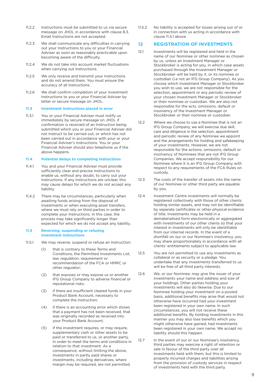- 11.2.2 Instructions must be submitted to us via secure message on JHOL in accordance with clause 8.3. Email Instructions are not accepted.
- 11.2.3 We shall communicate any difficulties in carrying out your Instructions to you or your Financial Adviser as soon as reasonably practicable upon becoming aware of the difficulty.
- 11.2.4 We do not take into account market fluctuations when carrying out Instructions.
- 11.2.5 We only receive and transmit your Instructions and do not amend them. You must ensure the accuracy of all Instructions.
- 11.2.6 We shall confirm completion of your investment Instructions to you or your Financial Adviser by letter or secure message on JHOL.

#### **11.3 Investment Instructions placed in error**

11.3.1 You or your Financial Adviser must notify us immediately by secure message on JHOL if confirmation is received of an Instruction being submitted which you or your Financial Adviser did not Instruct to be carried out, or which has not been carried out in accordance with your or your Financial Adviser's Instructions. You or your Financial Adviser should also telephone us if the above happens.

#### **11.4 Potential delays to completing Instructions**

- 11.4.1 You and your Financial Adviser must provide sufficiently clear and precise Instructions to enable us, without any doubt, to carry out your Instructions. If any Instructions are unclear, this may cause delays for which we do not accept any liability.
- 11.4.2 There may be circumstances, particularly when awaiting funds arising from the disposal of investments or when executing asset transfers, where we must rely on third parties in order to complete your Instructions. In this case, the process may take significantly longer than expected for which we do not accept any liability.

#### **11.5 Reversing, suspending or refusing investment Instructions**

- 11.5.1 We may reverse, suspend or refuse an Instruction:
	- (1) that is contrary to these Terms and Conditions, the Permitted Investments List, law, regulation, requirement or recommendation of the FCA or HMRC or other regulator;
	- (2) that exposes or may expose us or another IFG Group Company to adverse financial or reputational risks;
	- (3) if there are insufficient cleared funds in your Product Bank Account, necessary to complete the Instruction;
	- (4) if there is an accounting error which shows that a payment has not been received, that was originally recorded as received into your Product Bank Account;
	- (5) if the investment requires, or may require, supplementary cash or other assets to be paid or transferred to us, or another party, in order to meet the terms and conditions in relation to that investment. As a consequence, without limiting the above, investments in partly paid shares or investments, including derivatives, where margin may be required, are not permitted.

11.5.2 No liability is accepted for losses arising out of or in connection with us acting in accordance with clause 11.5.1 above.

## **12 REGISTRATION OF INVESTMENTS**

- 12.1 Investments will be registered and held in the name of our Nominee or other nominee as chosen by us, unless an Investment Manager or Stockbroker is acting for you, in which case assets purchased through the Investment Manager or Stockbroker will be held by it, or its nominee or custodian (i.e not an IFG Group Company). As you choose which Investment Manager or Stockbroker you wish to use, we are not responsible for the selection, appointment or any periodic review of your chosen Investment Manager or Stockbroker or their nominee or custodian. We are also not responsible for the acts, omissions, default or insolvency of the Investment Manager or Stockbroker or their nominee or custodian.
- 12.2 Where we choose to use a Nominee that is not an IFG Group Company, we will exercise due skill, care and diligence in the selection, appointment and periodic review of any Nominee we appoint and the arrangements for holding and safekeeping of your investments. However, we are not responsible for the actions, omissions, default or insolvency of Nominees that are not IFG Group Companies. We accept responsibility for our Nominee where it is an IFG Group Company with respect to any requirements of the FCA Rules on custody.
- 12.3 The costs of the transfer of assets into the name of our Nominee or other third party are payable by you.
- 12.4 Investment Centre investments will normally be registered collectively with those of other clients holding similar assets, and may not be identifiable by separate certificates or other physical evidence of title. Investments may be held in a dematerialised form electronically or aggregated with investments of our other clients so that your interest in investments will only be identifiable from our internal records. In the event of a shortfall on our or our Nominee's insolvency, you may share proportionately in accordance with all clients' entitlements subject to applicable law.
- 12.5 You are not permitted to use any investments as collateral or as security or a pledge. You undertake that any investments transferred to us will be free of all third party interests.
- 12.6 We, or our Nominee, may give the issuer of your investments your name and address and size of your holdings. Other parties holding your investments will also do likewise. Due to our Nominee holding your investment on a pooled basis, additional benefits may arise that would not otherwise have occurred had your investment been registered in your own name. In such circumstances, you will not receive these additional benefits. By holding investments in this manner you may also lose benefits which you might otherwise have gained, had investments been registered in your own name. We accept no liability should this happen.
- 12.7 In the event of our or our Nominee's insolvency, third parties may exercise a right of retention or sale in favour of the third party over all investments held with them, but this is limited to properly incurred charges and liabilities arising from the provision of custody services in respect of investments held with the third party.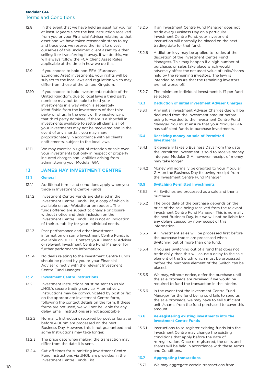- 12.8 In the event that we have held an asset for you for at least 12 years since the last Instruction received from you or your Financial Adviser relating to that asset and we have taken reasonable steps to try and trace you, we reserve the right to divest ourselves of this unclaimed client asset by either selling it or transferring it away. If we do this, we will always follow the FCA Client Asset Rules applicable at the time in how we do this.
- 12.9 If you choose to hold non-EEA (European Economic Area) investments, your rights will be subject to the local laws and regulation which may differ from those of the United Kingdom.
- 12.10 If you choose to hold investments outside of the United Kingdom, due to local laws a third party nominee may not be able to hold your investments in a way which is separately identifiable from the investments of that third party or of us. In the event of the insolvency of that third party nominee, if there is a shortfall in investments available to settle all claims, all of your investments may not be recovered and in the event of any shortfall, you may share proportionately in accordance with all clients' entitlements, subject to the local laws.
- 12.11 We may exercise a right of retention or sale over your investments but only in respect of properly incurred charges and liabilities arising from administering your Modular GIA.

## **13 JAMES HAY INVESTMENT CENTRE**

#### **13.1 General**

- 13.1.1 Additional terms and conditions apply when you trade in Investment Centre Funds.
- 13.1.2 Investment Centre Funds are detailed in the Investment Centre Funds List, a copy of which is available on our Website or on request. The funds offered are subject to change or closure without notice and their inclusion on the Investment Centre Funds List is not an indication of their suitability for your individual needs.
- 13.1.3 Past performance and other investment information on some Investment Centre Funds is available on JHOL. Contact your Financial Adviser or relevant Investment Centre Fund Manager for further performance information.
- 13.1.4 No deals relating to the Investment Centre Funds should be placed by you or your Financial Adviser directly with the relevant Investment Centre Fund Manager.

#### **13.2 Investment Centre Instructions**

- 13.2.1 Investment Instructions must be sent to us via JHOL's secure trading service. Alternatively, Instructions may be communicated by post or fax on the appropriate Investment Centre form, following the contact details on the form. If these forms are not used, we will not be liable for any delay. Email Instructions are not acceptable.
- 13.2.2 Normally, Instructions received by post or fax at or before 4.00pm are processed on the next Business Day. However, this is not guaranteed and some Instructions may take longer.
- 13.2.3 The price date when making the transaction may differ from the date it is sent.
- 13.2.4 Cut-off times for submitting Investment Centre Fund Instructions via JHOL are provided in the Investment Centre Funds List.
- 13.2.5 If an Investment Centre Fund Manager does not trade every Business Day on a particular Investment Centre Fund, your investment Instruction will normally be placed on the next trading date for that fund.
- 13.2.6 A dilution levy may be applied to trades at the discretion of the Investment Centre Fund Managers. This may happen if a high number of purchases or sales take place which would adversely affect the net asset value of units/shares held by the remaining investors. The levy is intended to ensure that the remaining investors are not worse off.
- 13.2.7 The minimum individual investment is £1 per fund selected.

#### **13.3 Deduction of initial investment Adviser Charges**

13.3.1 Any initial investment Adviser Charges due will be deducted from the investment amount before being forwarded to the Investment Centre Fund Manager. You must ensure that your Modular GIA has sufficient funds to purchase investments.

#### **13.4 Receiving money on sale of Permitted Investments**

- 13.4.1 It generally takes 5 Business Days from the date the Permitted Investment is sold to receive money into your Modular GIA; however, receipt of money may take longer.
- 13.4.2 Money will normally be credited to your Modular GIA on the Business Day following receipt from the Investment Centre Fund Manager.

#### **13.5 Switching Permitted Investments**

- 13.5.1 All Switches are processed as a sale and then a purchase.
- 13.5.2 The price date of the purchase depends on the price of the sale being received from the relevant Investment Centre Fund Manager. This is normally the next Business Day, but we will not be liable for any delays caused by non-receipt of this information.
- 13.5.3 All investment sales will be processed first before the purchase trades are processed when Switching out of more than one fund.
- 13.5.4 If you are Switching out of a fund that does not trade daily, then this will cause a delay to the sale element of the Switch which must be processed before the purchase element of the Switch can be placed.
- 13.5.5 We may, without notice, defer the purchase until the sale proceeds are received if we would be required to fund the transaction in the interim.
- 13.5.6 In the event that the Investment Centre Fund Manager for the fund being sold fails to send us the sale proceeds, we may have to sell sufficient units/shares from the fund purchased to cover this amount.

#### **13.6 Re-registering existing investments into the Investment Centre Funds**

13.6.1 Instructions to re-register existing funds into the Investment Centre may change the existing conditions that apply before the date of re-registration. Once re-registered, the units and shares will be held in accordance with these Terms and Conditions.

#### **13.7 Aggregating transactions**

13.7.1 We may aggregate certain transactions from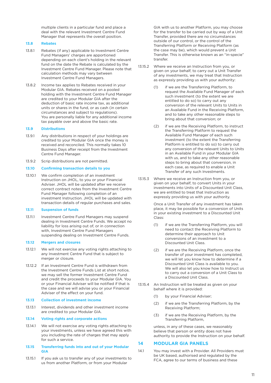multiple clients in a particular fund and place a deal with the relevant Investment Centre Fund Manager that represents the overall position.

#### **13.8 Rebates**

- 13.8.1 Rebates (if any) applicable to Investment Centre Fund Managers' charges are apportioned depending on each client's holding in the relevant fund on the date the Rebate is calculated by the Investment Centre Fund Manager. Please note that calculation methods may vary between Investment Centre Fund Managers.
- 13.8.2 Income tax applies to Rebates received in your Modular GIA. Rebates received on a pooled holding with the Investment Centre Fund Manager are credited to your Modular GIA after the deduction of basic rate income tax, as additional units or shares in the fund, or as cash (in certain circumstances and subject to regulations). You are personally liable for any additional income tax payable over and above the basic rate.

#### **13.9 Distributions**

- 13.9.1 Any distributions in respect of your holdings are credited to your Modular GIA once the money is received and reconciled. This normally takes 10 Business Days after receipt from the Investment Centre Fund Manager.
- 13.9.2 Scrip distributions are not permitted.

#### **13.10 Confirming transaction details to you**

13.10.1 We confirm completion of an investment Instruction on JHOL, to you or your Financial Adviser. JHOL will be updated after we receive correct contract notes from the Investment Centre Fund Manager following completion of an investment Instruction. JHOL will be updated with transaction details of regular purchases and sales.

#### **13.11 Suspension of funds**

13.11.1 Investment Centre Fund Managers may suspend dealing in Investment Centre Funds. We accept no liability for loss arising out of, or in connection with, Investment Centre Fund Managers suspending dealing on Investment Centre Funds.

#### **13.12 Mergers and closures**

- 13.12.1 We will not exercise any voting rights attaching to any Investment Centre Fund that is subject to merger or closure.
- 13.12.2 If an Investment Centre Fund is withdrawn from the Investment Centre Funds List at short notice, we may sell the former Investment Centre Fund and credit the proceeds to your Modular GIA. You or your Financial Adviser will be notified if that is the case and we will advise you or your Financial Adviser of the effect on your fund.

#### **13.13 Collection of investment income**

13.13.1 Interest, dividends and other investment income are credited to your Modular GIA.

#### **13.14 Voting rights and corporate actions**

13.14.1 We will not exercise any voting rights attaching to your investments, unless we have agreed this with you including the rate of charges that may apply for such a service.

#### **13.15 Transferring funds into and out of your Modular GIA**

13.15.1 If you ask us to transfer any of your investments to us from another Platform, or from your Modular

 GIA with us to another Platform, you may choose for the transfer to be carried out by way of a Unit Transfer, provided there are no circumstances outside of our control, or the control of the Transferring Platform or Receiving Platform (as the case may be), which would prevent a Unit Transfer. This is otherwise known as an "in-specie" transfer.

- 13.15.2 Where we receive an Instruction from you, or given on your behalf, to carry out a Unit Transfer of any investments, we may treat that Instruction as expressly providing us with your authority:
	- (1) if we are the Transferring Platform, to request the Available Fund Manager of each such investment (to the extent we are entitled to do so) to carry out any conversion of the relevant Units to Units in an Available Fund in the Receiving Platform, and to take any other reasonable steps to bring about that conversion; or
	- (2) if we are the Receiving Platform, to instruct the Transferring Platform to request the Available Fund Manager of each such investment (to the extent the Transferring Platform is entitled to do so) to carry out any conversion of the relevant Units to Units in an Available Fund in your Modular GIA with us, and to take any other reasonable steps to bring about that conversion, in each case, as required to enable a Unit Transfer of any such Investments.
- 13.15.3 Where we receive an Instruction from you, or given on your behalf, to convert Units in your investments into Units of a Discounted Unit Class, we are entitled to treat that Instruction as expressly providing us with your authority.

 Once a Unit Transfer of any investment has taken place, it may be possible for a conversion of Units in your existing investment to a Discounted Unit Class:

- (1) if we are the Transferring Platform, you will need to contact the Receiving Platform to determine their approach to Unit conversions of an investment to a Discounted Unit Class.
- (2) if we are the Receiving Platform, once the transfer of your investment has completed, we will let you know how to determine if a Discounted Unit Class is available to you. We will also let you know how to Instruct us to carry out a conversion of a Unit Class to a Discounted Unit Class.
- 13.15.4 An Instruction will be treated as given on your behalf where it is provided:
	- (1) by your Financial Adviser;
	- (2) if we are the Transferring Platform, by the Receiving Platform;
	- (3) if we are the Receiving Platform, by the Transferring Platform,

 unless, in any of these cases, we reasonably believe that person or entity does not have authority to provide the Instruction on your behalf.

#### **14 MODULAR GIA PANELS**

14.1 You may invest with a Provider. All Providers must be UK based, authorised and regulated by the FCA, agree to our terms of business and these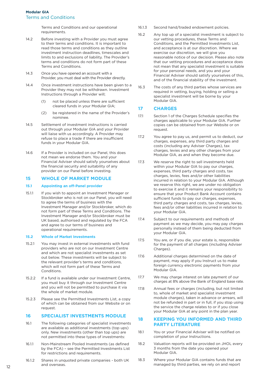Terms and Conditions and our operational requirements.

- 14.2 Before investing with a Provider you must agree to their terms and conditions. It is important to read those terms and conditions as they outline investment instruction deadlines, timescales and limits to and exclusions of liability. The Provider's terms and conditions do not form part of these Terms and Conditions.
- 14.3 Once you have opened an account with a Provider, you must deal with the Provider directly.
- 14.4 Once investment instructions have been given to a Provider they may not be withdrawn. Investment Instructions through a Provider will;
	- (1) not be placed unless there are sufficient cleared funds in your Modular GIA;
	- (2) be registered in the name of the Provider's nominee.
- 14.5 Settlement of investment instructions is carried out through your Modular GIA and your Provider will liaise with us accordingly. A Provider may refuse to place a trade if there are insufficient funds in your Modular GIA.
- 14.6 If a Provider is included on our Panel, this does not mean we endorse them. You and your Financial Adviser should satisfy yourselves about the financial security and suitability of any provider on our Panel before investing.

## **15 WHOLE OF MARKET MODULE**

#### **15.1 Appointing an off-Panel provider**

15.1.1 If you wish to appoint an Investment Manager or Stockbroker who is not on our Panel, you will need to agree the terms of business with the Investment Manager and/or Stockbroker, which do not form part of these Terms and Conditions. The Investment Manager and/or Stockbroker must be UK based, authorised and regulated by the FCA and agree to our terms of business and operational requirements.

#### **15.2 Whole of Market Investments**

- 15.2.1 You may invest in external investments with fund providers who are not on our Investment Centre and which are not specialist investments as set out below. These investments will be subject to the relevant provider's terms and conditions, which will not form part of these Terms and Conditions.
- 15.2.2 If a fund is available under our Investment Centre, you must buy it through our Investment Centre and you will not be permitted to purchase it via the whole of market module.
- 15.2.3 Please see the Permitted Investments List, a copy of which can be obtained from our Website or on request

## **16 SPECIALIST INVESTMENTS MODULE**

- 16.1 The following categories of specialist investments are available as additional investments (top ups) only. New investments (other than top ups) are not permitted into these types of investments:
- 16.1.1 Non-Mainstream Pooled Investments (as defined by the FCA) – see the Permitted Investments List for restrictions and requirements.
- 16.1.2 Shares in unquoted private companies both UK and overseas.
- 16.1.3 Second hand/traded endowment policies.
- 16.2 Any top up of a specialist investment is subject to our vetting procedures, these Terms and Conditions, and the Permitted Investments List, and acceptance is at our discretion. Where we exercise our discretion, we will give you reasonable notice of our decision. Please also note that our vetting procedures and acceptance does not mean that any specialist investment is suitable for your personal needs, and you and your Financial Adviser should satisfy yourselves of this, and of the financial stability of the investment.
- 16.3 The costs of any third parties whose services are required in vetting, buying, holding or selling a specialist investment will be borne by your Modular GIA.

## **17 CHARGES**

- 17.1 Section 1 of the Charges Schedule specifies the charges applicable to your Modular GIA. Further copies can be obtained from our Website or on request.
- 17.2 You agree to pay us, and permit us to deduct, our charges, expenses, any third party charges and costs (including any Adviser Charges), tax charges, levies and any other charges from your Modular GIA, as and when they become due.
- 17.3 We reserve the right to sell investments held within your Modular GIA to pay our charges, expenses, third party charges and costs, tax charges, levies, fees and/or other liabilities incurred in relation to your Modular GIA. Although we reserve this right, we are under no obligation to exercise it and it remains your responsibility to ensure that your Product Bank Account contains sufficient funds to pay our charges, expenses, third party charges and costs, tax charges, levies, fees and/or other liabilities incurred in relation to your Modular GIA.
- 17.4 Subject to our requirements and methods of payment as we may decide, you may pay charges personally instead of them being deducted from your Modular GIA.
- 17.5 You are, or if you die, your estate is, responsible for the payment of all charges (including Adviser Charges).
- 17.6 Additional charges determined on the date of payment, may apply if you Instruct us to make foreign currency electronic payments from your Modular GIA.
- 17.7 We may charge interest on late payment of our charges at 8% above the Bank of England base rate.
- 17.8 Annual fees or charges (including, but not limited to, whole of market and specialist investment module charges), taken in advance or arrears, will not be refunded in part or in full, if you stop using the service the charge relates to or if you close your Modular GIA at any point in the plan year.

## **18 KEEPING YOU INFORMED AND THIRD PARTY LITERATURE**

- 18.1 You or your Financial Adviser will be notified on completion of your Instructions.
- 18.2 Valuation reports will be provided on JHOL every 3 months from the date you opened your Modular GIA.
- 18.3 Where your Modular GIA contains funds that are managed by third parties, we rely on and report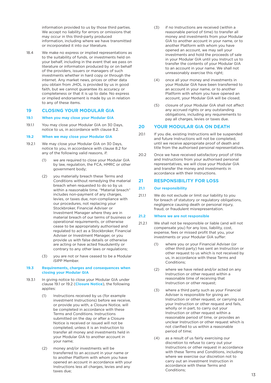information provided to us by those third parties. We accept no liability for errors or omissions that may occur in this third-party produced information, including where we have transmitted or incorporated it into our literature.

18.4 We make no express or implied representations as to the suitability of funds, or investments held on your behalf, including in the event that we pass on literature or information produced by or on behalf of the providers, issuers or managers of such investments whether in hard copy or through the internet. Any market news, prices or other data you obtain from JHOL is provided by us in good faith, but we cannot guarantee its accuracy or completeness or that it is up to date. No express or implied endorsement is made by us in relation to any of these items.

## **19 CLOSING YOUR MODULAR GIA**

#### **19.1 When you may close your Modular GIA**

19.1.1 You may close your Modular GIA on 30 Days, notice to us, in accordance with clause 8.2.

#### **19.2 When we may close your Modular GIA**

- 19.2.1 We may close your Modular GIA on 30 Days, notice to you, in accordance with clause 8.2 for any of the following valid reasons, if:
	- (1) we are required to close your Modular GIA by law, regulation, the FCA, HMRC or other government body;
	- (2) you materially breach these Terms and Conditions without remedying the material breach when requested to do so by us within a reasonable time. "Material breach" includes non-payment of any charges, levies, or taxes due, non-compliance with our procedures, not replacing your Stockbroker, Financial Adviser or Investment Manager where they are in material breach of our terms of business or operational requirements, or otherwise cease to be appropriately authorised and regulated to act as a Stockbroker, Financial Adviser or Investment Manager, or you provide us with false details or otherwise are acting or have acted fraudulently or contrary to any other laws or regulations;
	- (3) you are not or have ceased to be a Modular iSIPP Member.

#### **19.3 Requirements, charges and consequences when closing your Modular GIA**

- 19.3.1 In giving notice to close your Modular GIA under clause 19.1 or 19.2 (**Closure Notice**), the following applies:
	- (1) Instructions received by us (for example investment Instructions) before we receive, or provide you with, a Closure Notice, will be completed in accordance with these Terms and Conditions. Instructions submitted on the day or after a Closure Notice is received or issued will not be completed, unless it is an Instruction to transfer all money and investments held in your Modular GIA to another account in your name;
	- (2) money and/or investments will be transferred to an account in your name or to another Platform with whom you have opened an account in accordance with your Instructions less all charges, levies and any taxes due;
- (3) if no Instructions are received (within a reasonable period of time) to transfer all money and investments from your Modular GIA to another account in your name, or to another Platform with whom you have opened an account, we may sell your investments and hold the proceeds of sale in your Modular GIA until you Instruct us to transfer the contents of your Modular GIA to an account in your name. We shall not unreasonably exercise this right;
- (4) once all your money and investments in your Modular GIA have been transferred to an account in your name, or to another Platform with whom you have opened an account, your Modular GIA will be closed;
- (5) closure of your Modular GIA shall not affect any accrued rights or any outstanding obligations, including any requirements to pay all charges, levies or taxes due.

#### **20 YOUR MODULAR GIA ON DEATH**

- 20.1 If you die, existing Instructions will be suspended and future Instructions will not be completed, until we receive appropriate proof of death and title from the authorised personal representatives.
- 20.2 Once we have received satisfactory proof of title and Instructions from your authorised personal representatives, we will close your Modular GIA and transfer the money and investments in accordance with their Instructions.

## **21 RESPONSIBILITY FOR LOSS**

#### **21.1 Our responsibility**

21.1.1 We do not exclude or limit our liability to you for breach of statutory or regulatory obligations, negligence causing death or personal injury, fraud, or fraudulent misrepresentation.

## **21.2 Where we are not responsible**

- 21.2.1 We shall not be responsible or liable (and will not compensate you) for any loss, liability, cost, expense, fees or missed profit that you, your investments or your Modular GIA suffer:
	- (1) where you or your Financial Adviser (or other third party) has sent an Instruction or other request to us which is not received by us, in accordance with these Terms and Conditions;
	- (2) where we have relied and/or acted on any Instruction or other request within a reasonable time of receiving that Instruction or other request;
	- (3) where a third party such as your Financial Adviser is responsible for giving an Instruction or other request, or carrying out your Instruction or other request and fails, wholly or in part, to carry out your Instruction or other request within a reasonable period of time, or provides an unclear Instruction or other request which is not clarified to us within a reasonable period of time;
	- (4) as a result of us fairly exercising our discretion to refuse to carry out your Instructions or other request in accordance with these Terms and Conditions, including where we exercise our discretion not to carry out an investment Instruction in accordance with these Terms and Conditions;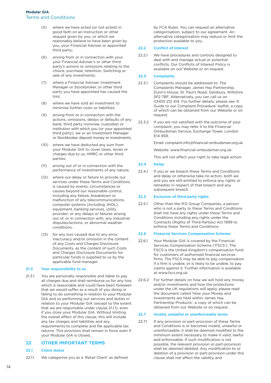- (5) where we have acted (or not acted) in good faith on an Instruction or other request given by you, or which we reasonably believe to have been given by you, your Financial Adviser or appointed third party;
- (6) arising from or in connection with your, your Financial Adviser's or other third party's actions or omissions relating to the choice, purchase, retention, Switching or sale of any investments;
- (7) where a Financial Adviser, Investment Manager or Stockbroker, or other third party you have appointed has caused the loss;
- (8) where we have sold an investment to minimise further costs or liabilities;
- (9) arising from or in connection with the actions, omissions, delays or defaults of any bank, third party nominee, custodian or institution with which you (or your appointed third party), we or an Investment Manager or Stockbroker deposit money or investments;
- (10) where we have deducted any sum from your Modular GIA to cover taxes, levies or charges due to us, HMRC or other third parties;
- (11) arising out of or in connection with the performance of investments of any nature;
- (12) where our delay or failure to provide our services under these Terms and Conditions is caused by events, circumstances or causes beyond our reasonable control, including any failure, breakdown or malfunction of any telecommunications, computer systems (including JHOL), equipment, banking services, utility provider; or any delays or failures arising out of, or in connection with, any industrial disputes/actions, or abnormal weather conditions;
- (13) for any loss caused due to any error, inaccuracy and/or omission in the content of any Costs and Charges Disclosure Documents, as the content of such Costs and Charges Disclosure Documents for particular funds is supplied to us by the applicable fund manager.

#### **21.3 Your responsibility to us**

21.3.1 You are personally responsible and liable to pay all charges due and shall reimburse us for any loss which is reasonable and could have been foreseen that we would suffer as a result of you doing or failing to do something in relation to your Modular GIA and us performing our services and duties in relation to your Modular GIA (except to the extent that we are responsible under clause 21.1.1), even if you close your Modular GIA. Without limiting the overall effect of this clause, this will include any tax charges and liabilities and any requirements to complete and file applicable tax returns. This provision shall remain in force even if your Modular GIA is closed.

## **22 OTHER IMPORTANT TERMS**

## **22.1 Client status**

22.1.1 We categorise you as a 'Retail Client' as defined

 by FCA Rules. You can request an alternative categorisation, subject to our agreement. An alternative categorisation may reduce or limit the protection available to you.

## **22.2 Conflict of interest**

22.2.1 We have procedures and controls designed to deal with and manage actual or potential conflicts. Our Conflicts of Interest Policy is available on our Website or on request.

## **22.3 Complaints**

- 22.3.1 Complaints should be addressed to: The Complaints Manager, James Hay Partnership, Dunn's House, St. Paul's Road, Salisbury, Wiltshire SP2 7BF. Alternatively, you can call us on 03455 212 414. For further details, please see 'A Guide to our Complaint Procedure' leaflet, a copy of which can be obtained from our Website or on request.
- 22.3.2 If you are not satisfied with the outcome of your complaint, you may refer it to the Financial Ombudsman Service, Exchange Tower, London E14 9SR.

Email: complaint.info@financial-ombudsman.org.uk.

Website: www.financial-ombudsman.org.uk.

This will not affect your right to take legal action.

## **22.4 Delay**

22.4.1 If you or we breach these Terms and Conditions and delay or otherwise take no action, both we and you are still entitled to enforce any rights or remedies in respect of that breach and any subsequent breach.

#### **22.5 Exclusion of third party rights**

22.5.1 Other than the IFG Group Companies, a person who is not a party to these Terms and Conditions shall not have any rights under these Terms and Conditions including any rights under the Contracts (Rights of Third Parties) Act 1999 to enforce these Terms and Conditions.

#### **22.6 Financial Services Compensation Scheme**

- 22.6.1 Your Modular GIA is covered by the Financial Services Compensation Scheme ('FSCS'). The FSCS is the United Kingdom's compensation fund for customers of authorised financial services firms. The FSCS may be able to pay compensation if a firm is unable, or is likely to be unable, to pay claims against it. Further information is available at www.fscs.org.uk.
- 22.6.2 For further details on how we will hold any money and/or investments and how the protections under the UK regulations will apply, please read the document called 'How your Money and Investments are held within James Hay Partnership Products', a copy of which can be obtained from our Website or on request.

#### **22.7 Invalid, unlawful or unenforceable terms**

22.7.1 If any provision or part-provision of these Terms and Conditions is or becomes invalid, unlawful or unenforceable, it shall be deemed modified to the minimum extent necessary to make it valid, lawful and enforceable. If such modification is not possible, the relevant provision or part-provision shall be deemed deleted. Any modification to or deletion of a provision or part-provision under this clause shall not affect the validity and